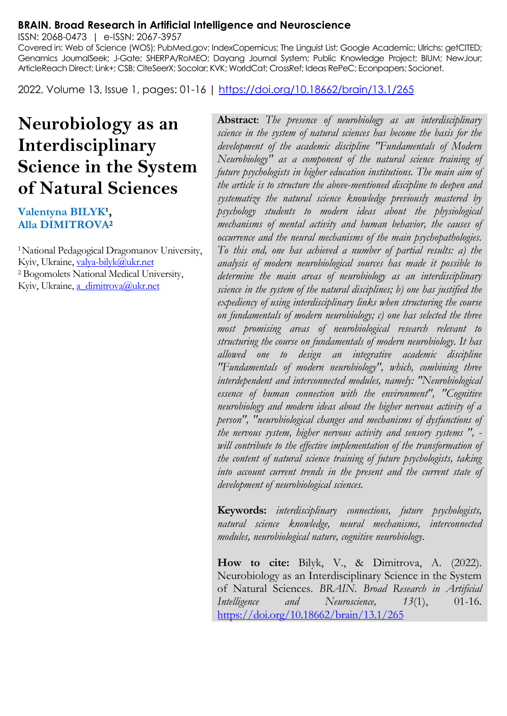#### **BRAIN. Broad Research in Artificial Intelligence and Neuroscience**

ISSN: 2068-0473 | e-ISSN: 2067-3957

Covered in: Web of Science (WOS); PubMed.gov; IndexCopernicus; The Linguist List; Google Academic; Ulrichs; getCITED; Genamics JournalSeek; J-Gate; SHERPA/RoMEO; Dayang Journal System; Public Knowledge Project; BIUM; NewJour; ArticleReach Direct; Link+; CSB; CiteSeerX; Socolar; KVK; WorldCat; CrossRef; Ideas RePeC; Econpapers; Socionet.

2022, Volume 13, Issue 1, pages: 01-16 |<https://doi.org/10.18662/brain/13.1/265>

# **Neurobiology as an Interdisciplinary Science in the System of Natural Sciences**

#### Valentyna BILYK<sup>1</sup>, **Alla DIMITROVA<sup>2</sup>**

**<sup>1</sup>**National Pedagogical Dragomanov University, Kyiv, Ukraine[, valya-bilyk@ukr.net](mailto:valya-bilyk@ukr.net) **<sup>2</sup>** Bogomolets National Medical University, Kyiv, Ukraine[, a\\_dimitrova@ukr.net](mailto:a_dimitrova@ukr.net)

**Abstract**: *The presence of neurobiology as an interdisciplinary science in the system of natural sciences has become the basis for the development of the academic discipline "Fundamentals of Modern Neurobiology" as a component of the natural science training of future psychologists in higher education institutions. The main aim of the article is to structure the above-mentioned discipline to deepen and systematize the natural science knowledge previously mastered by psychology students to modern ideas about the physiological mechanisms of mental activity and human behavior, the causes of occurrence and the neural mechanisms of the main psychopathologies. To this end, one has achieved a number of partial results: a) the analysis of modern neurobiological sources has made it possible to determine the main areas of neurobiology as an interdisciplinary science in the system of the natural disciplines; b) one has justified the expediency of using interdisciplinary links when structuring the course on fundamentals of modern neurobiology; c) one has selected the three most promising areas of neurobiological research relevant to structuring the course on fundamentals of modern neurobiology. It has allowed one to design an integrative academic discipline "Fundamentals of modern neurobiology", which, combining three interdependent and interconnected modules, namely: "Neurobiological essence of human connection with the environment", "Cognitive neurobiology and modern ideas about the higher nervous activity of a person", "neurobiological changes and mechanisms of dysfunctions of the nervous system, higher nervous activity and sensory systems ", will contribute to the effective implementation of the transformation of the content of natural science training of future psychologists, taking into account current trends in the present and the current state of development of neurobiological sciences.*

**Keywords:** *interdisciplinary connections, future psychologists, natural science knowledge, neural mechanisms, interconnected modules, neurobiological nature, cognitive neurobiology.*

**How to cite:** Bilyk, V., & Dimitrova, A. (2022). Neurobiology as an Interdisciplinary Science in the System of Natural Sciences. *BRAIN. Broad Research in Artificial Intelligence and Neuroscience, 13*(1), 01-16. <https://doi.org/10.18662/brain/13.1/265>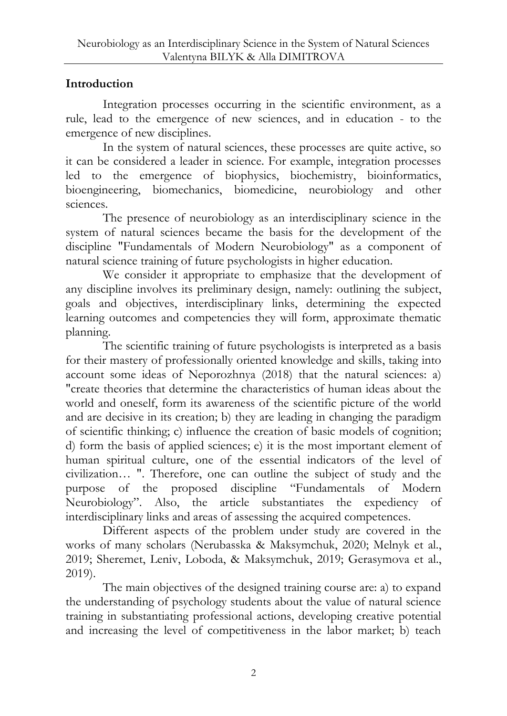## **Introduction**

Integration processes occurring in the scientific environment, as a rule, lead to the emergence of new sciences, and in education - to the emergence of new disciplines.

In the system of natural sciences, these processes are quite active, so it can be considered a leader in science. For example, integration processes led to the emergence of biophysics, biochemistry, bioinformatics, bioengineering, biomechanics, biomedicine, neurobiology and other sciences.

The presence of neurobiology as an interdisciplinary science in the system of natural sciences became the basis for the development of the discipline "Fundamentals of Modern Neurobiology" as a component of natural science training of future psychologists in higher education.

We consider it appropriate to emphasize that the development of any discipline involves its preliminary design, namely: outlining the subject, goals and objectives, interdisciplinary links, determining the expected learning outcomes and competencies they will form, approximate thematic planning.

The scientific training of future psychologists is interpreted as a basis for their mastery of professionally oriented knowledge and skills, taking into account some ideas of Neporozhnya (2018) that the natural sciences: a) "create theories that determine the characteristics of human ideas about the world and oneself, form its awareness of the scientific picture of the world and are decisive in its creation; b) they are leading in changing the paradigm of scientific thinking; c) influence the creation of basic models of cognition; d) form the basis of applied sciences; e) it is the most important element of human spiritual culture, one of the essential indicators of the level of civilization… ". Therefore, one can outline the subject of study and the purpose of the proposed discipline "Fundamentals of Modern Neurobiology". Also, the article substantiates the expediency of interdisciplinary links and areas of assessing the acquired competences.

Different aspects of the problem under study are covered in the works of many scholars (Nerubasska & Maksymchuk, 2020; Melnyk et al., 2019; Sheremet, Leniv, Loboda, & Maksymchuk, 2019; Gerasymova et al., 2019).

The main objectives of the designed training course are: a) to expand the understanding of psychology students about the value of natural science training in substantiating professional actions, developing creative potential and increasing the level of competitiveness in the labor market; b) teach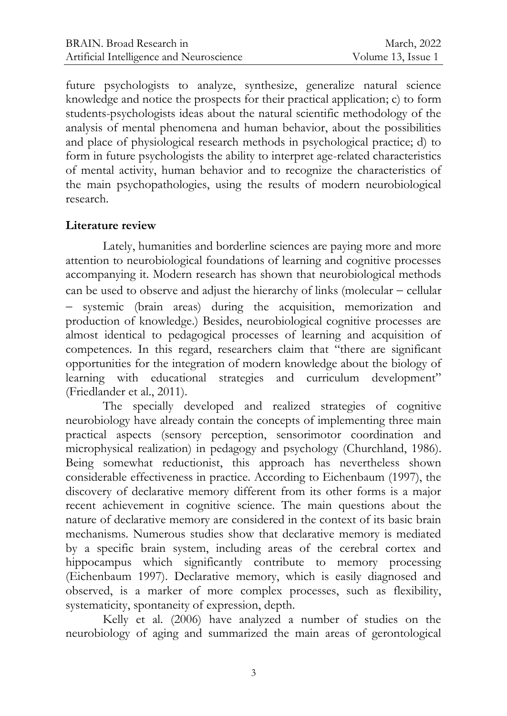future psychologists to analyze, synthesize, generalize natural science knowledge and notice the prospects for their practical application; c) to form students-psychologists ideas about the natural scientific methodology of the analysis of mental phenomena and human behavior, about the possibilities and place of physiological research methods in psychological practice; d) to form in future psychologists the ability to interpret age-related characteristics of mental activity, human behavior and to recognize the characteristics of the main psychopathologies, using the results of modern neurobiological research.

#### **Literature review**

Lately, humanities and borderline sciences are paying more and more attention to neurobiological foundations of learning and cognitive processes accompanying it. Modern research has shown that neurobiological methods can be used to observe and adjust the hierarchy of links (molecular  $-$  cellular systemic (brain areas) during the acquisition, memorization and production of knowledge.) Besides, neurobiological cognitive processes are almost identical to pedagogical processes of learning and acquisition of competences. In this regard, researchers claim that "there are significant opportunities for the integration of modern knowledge about the biology of learning with educational strategies and curriculum development" (Friedlander et al., 2011).

The specially developed and realized strategies of cognitive neurobiology have already contain the concepts of implementing three main practical aspects (sensory perception, sensorimotor coordination and microphysical realization) in pedagogy and psychology (Churchland, 1986). Being somewhat reductionist, this approach has nevertheless shown considerable effectiveness in practice. According to Eichenbaum (1997), the discovery of declarative memory different from its other forms is a major recent achievement in cognitive science. The main questions about the nature of declarative memory are considered in the context of its basic brain mechanisms. Numerous studies show that declarative memory is mediated by a specific brain system, including areas of the cerebral cortex and hippocampus which significantly contribute to memory processing (Eichenbaum 1997). Declarative memory, which is easily diagnosed and observed, is a marker of more complex processes, such as flexibility, systematicity, spontaneity of expression, depth.

Kelly et al. (2006) have analyzed a number of studies on the neurobiology of aging and summarized the main areas of gerontological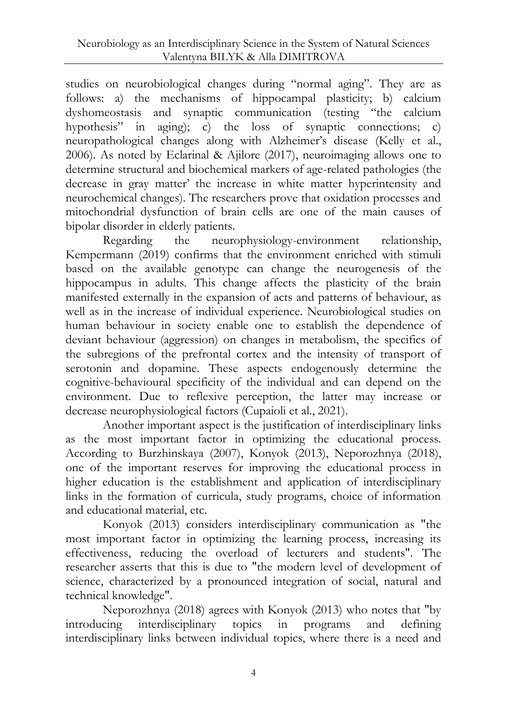studies on neurobiological changes during "normal aging". They are as follows: a) the mechanisms of hippocampal plasticity; b) calcium dyshomeostasis and synaptic communication (testing "the calcium hypothesis" in aging); c) the loss of synaptic connections; c) neuropathological changes along with Alzheimer's disease (Kelly et al., 2006). As noted by Eclarinal & Ajilore (2017), neuroimaging allows one to determine structural and biochemical markers of age-related pathologies (the decrease in gray matter' the increase in white matter hyperintensity and neurochemical changes). The researchers prove that oxidation processes and mitochondrial dysfunction of brain cells are one of the main causes of bipolar disorder in elderly patients.

Regarding the neurophysiology-environment relationship, Kempermann (2019) confirms that the environment enriched with stimuli based on the available genotype can change the neurogenesis of the hippocampus in adults. This change affects the plasticity of the brain manifested externally in the expansion of acts and patterns of behaviour, as well as in the increase of individual experience. Neurobiological studies on human behaviour in society enable one to establish the dependence of deviant behaviour (aggression) on changes in metabolism, the specifics of the subregions of the prefrontal cortex and the intensity of transport of serotonin and dopamine. These aspects endogenously determine the cognitive-behavioural specificity of the individual and can depend on the environment. Due to reflexive perception, the latter may increase or decrease neurophysiological factors (Cupaioli et al., 2021).

Another important aspect is the justification of interdisciplinary links as the most important factor in optimizing the educational process. According to Burzhinskaya (2007), Konyok (2013), Neporozhnya (2018), one of the important reserves for improving the educational process in higher education is the establishment and application of interdisciplinary links in the formation of curricula, study programs, choice of information and educational material, etc.

Konyok (2013) considers interdisciplinary communication as "the most important factor in optimizing the learning process, increasing its effectiveness, reducing the overload of lecturers and students". The researcher asserts that this is due to "the modern level of development of science, characterized by a pronounced integration of social, natural and technical knowledge".

Neporozhnya (2018) agrees with Konyok (2013) who notes that "by introducing interdisciplinary topics in programs and defining interdisciplinary links between individual topics, where there is a need and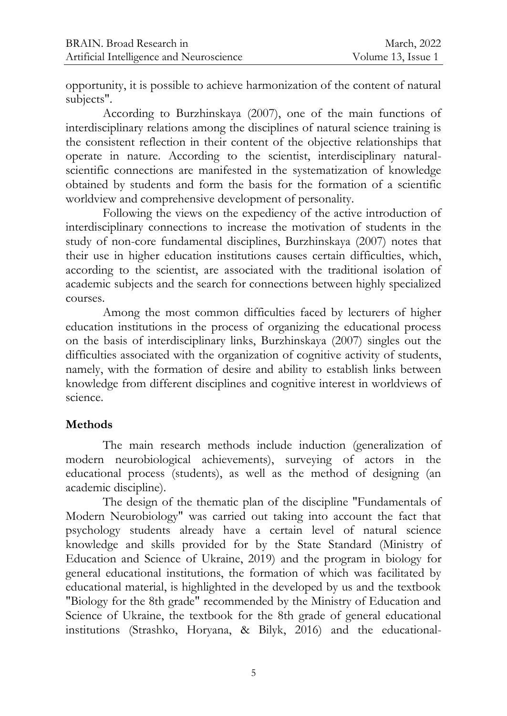opportunity, it is possible to achieve harmonization of the content of natural subjects".

According to Burzhinskaya (2007), one of the main functions of interdisciplinary relations among the disciplines of natural science training is the consistent reflection in their content of the objective relationships that operate in nature. According to the scientist, interdisciplinary naturalscientific connections are manifested in the systematization of knowledge obtained by students and form the basis for the formation of a scientific worldview and comprehensive development of personality.

Following the views on the expediency of the active introduction of interdisciplinary connections to increase the motivation of students in the study of non-core fundamental disciplines, Burzhinskaya (2007) notes that their use in higher education institutions causes certain difficulties, which, according to the scientist, are associated with the traditional isolation of academic subjects and the search for connections between highly specialized courses.

Among the most common difficulties faced by lecturers of higher education institutions in the process of organizing the educational process on the basis of interdisciplinary links, Burzhinskaya (2007) singles out the difficulties associated with the organization of cognitive activity of students, namely, with the formation of desire and ability to establish links between knowledge from different disciplines and cognitive interest in worldviews of science.

#### **Methods**

The main research methods include induction (generalization of modern neurobiological achievements), surveying of actors in the educational process (students), as well as the method of designing (an academic discipline).

The design of the thematic plan of the discipline "Fundamentals of Modern Neurobiology" was carried out taking into account the fact that psychology students already have a certain level of natural science knowledge and skills provided for by the State Standard (Ministry of Education and Science of Ukraine, 2019) and the program in biology for general educational institutions, the formation of which was facilitated by educational material, is highlighted in the developed by us and the textbook "Biology for the 8th grade" recommended by the Ministry of Education and Science of Ukraine, the textbook for the 8th grade of general educational institutions (Strashko, Horyana, & Bilyk, 2016) and the educational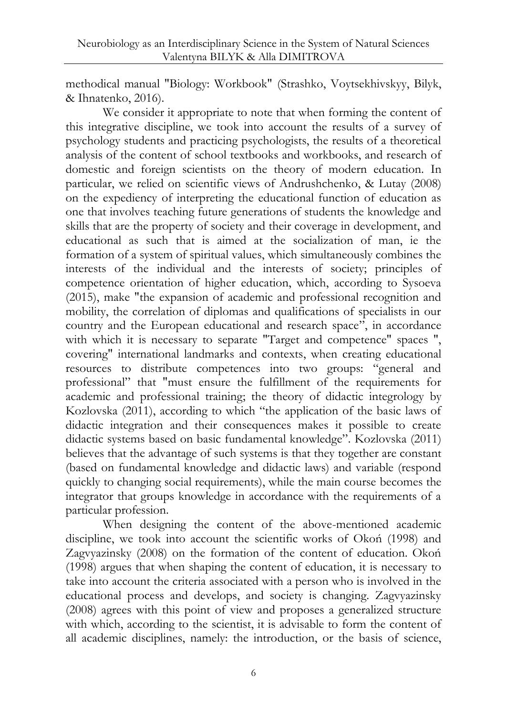methodical manual "Biology: Workbook" (Strashko, Voytsekhivskyy, Bilyk, & Ihnatenko, 2016).

We consider it appropriate to note that when forming the content of this integrative discipline, we took into account the results of a survey of psychology students and practicing psychologists, the results of a theoretical analysis of the content of school textbooks and workbooks, and research of domestic and foreign scientists on the theory of modern education. In particular, we relied on scientific views of Andrushchenko, & Lutay (2008) on the expediency of interpreting the educational function of education as one that involves teaching future generations of students the knowledge and skills that are the property of society and their coverage in development, and educational as such that is aimed at the socialization of man, ie the formation of a system of spiritual values, which simultaneously combines the interests of the individual and the interests of society; principles of competence orientation of higher education, which, according to Sysoeva (2015), make "the expansion of academic and professional recognition and mobility, the correlation of diplomas and qualifications of specialists in our country and the European educational and research space", in accordance with which it is necessary to separate "Target and competence" spaces", covering" international landmarks and contexts, when creating educational resources to distribute competences into two groups: "general and professional" that "must ensure the fulfillment of the requirements for academic and professional training; the theory of didactic integrology by Kozlovska (2011), according to which "the application of the basic laws of didactic integration and their consequences makes it possible to create didactic systems based on basic fundamental knowledge". Kozlovska (2011) believes that the advantage of such systems is that they together are constant (based on fundamental knowledge and didactic laws) and variable (respond quickly to changing social requirements), while the main course becomes the integrator that groups knowledge in accordance with the requirements of a particular profession.

When designing the content of the above-mentioned academic discipline, we took into account the scientific works of Okoń (1998) and Zagvyazinsky (2008) on the formation of the content of education. Okoń (1998) argues that when shaping the content of education, it is necessary to take into account the criteria associated with a person who is involved in the educational process and develops, and society is changing. Zagvyazinsky (2008) agrees with this point of view and proposes a generalized structure with which, according to the scientist, it is advisable to form the content of all academic disciplines, namely: the introduction, or the basis of science,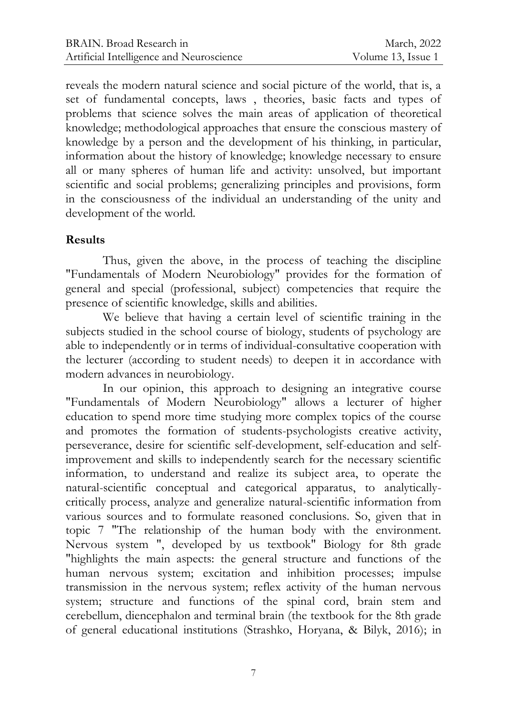reveals the modern natural science and social picture of the world, that is, a set of fundamental concepts, laws , theories, basic facts and types of problems that science solves the main areas of application of theoretical knowledge; methodological approaches that ensure the conscious mastery of knowledge by a person and the development of his thinking, in particular, information about the history of knowledge; knowledge necessary to ensure all or many spheres of human life and activity: unsolved, but important scientific and social problems; generalizing principles and provisions, form in the consciousness of the individual an understanding of the unity and development of the world.

#### **Results**

Thus, given the above, in the process of teaching the discipline "Fundamentals of Modern Neurobiology" provides for the formation of general and special (professional, subject) competencies that require the presence of scientific knowledge, skills and abilities.

We believe that having a certain level of scientific training in the subjects studied in the school course of biology, students of psychology are able to independently or in terms of individual-consultative cooperation with the lecturer (according to student needs) to deepen it in accordance with modern advances in neurobiology.

In our opinion, this approach to designing an integrative course "Fundamentals of Modern Neurobiology" allows a lecturer of higher education to spend more time studying more complex topics of the course and promotes the formation of students-psychologists creative activity, perseverance, desire for scientific self-development, self-education and selfimprovement and skills to independently search for the necessary scientific information, to understand and realize its subject area, to operate the natural-scientific conceptual and categorical apparatus, to analyticallycritically process, analyze and generalize natural-scientific information from various sources and to formulate reasoned conclusions. So, given that in topic 7 "The relationship of the human body with the environment. Nervous system ", developed by us textbook" Biology for 8th grade "highlights the main aspects: the general structure and functions of the human nervous system; excitation and inhibition processes; impulse transmission in the nervous system; reflex activity of the human nervous system; structure and functions of the spinal cord, brain stem and cerebellum, diencephalon and terminal brain (the textbook for the 8th grade of general educational institutions (Strashko, Horyana, & Bilyk, 2016); in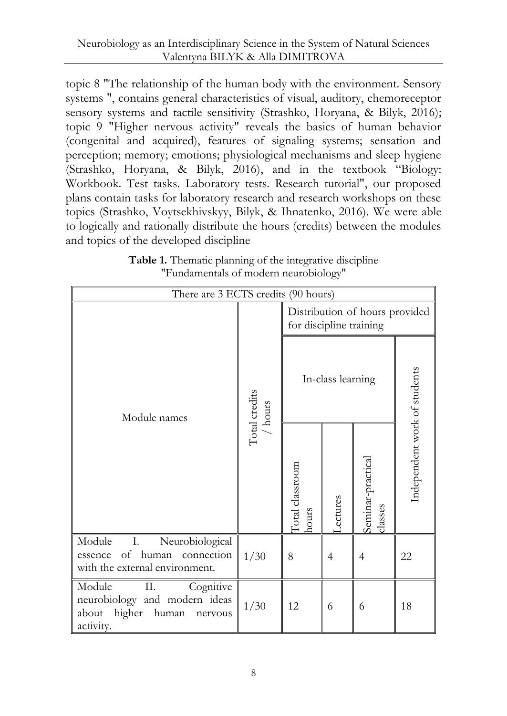topic 8 "The relationship of the human body with the environment. Sensory systems ", contains general characteristics of visual, auditory, chemoreceptor sensory systems and tactile sensitivity (Strashko, Horyana, & Bilyk, 2016); topic 9 "Higher nervous activity" reveals the basics of human behavior (congenital and acquired), features of signaling systems; sensation and perception; memory; emotions; physiological mechanisms and sleep hygiene (Strashko, Horyana, & Bilyk, 2016), and in the textbook "Biology: Workbook. Test tasks. Laboratory tests. Research tutorial", our proposed plans contain tasks for laboratory research and research workshops on these topics (Strashko, Voytsekhivskyy, Bilyk, & Ihnatenko, 2016). We were able to logically and rationally distribute the hours (credits) between the modules and topics of the developed discipline

| Table 1. Thematic planning of the integrative discipline |  |
|----------------------------------------------------------|--|
| "Fundamentals of modern neurobiology"                    |  |

| There are 3 ECTS credits (90 hours)                                                                            |                                                                        |                                                           |         |                              |                              |  |  |
|----------------------------------------------------------------------------------------------------------------|------------------------------------------------------------------------|-----------------------------------------------------------|---------|------------------------------|------------------------------|--|--|
|                                                                                                                | $\begin{array}{c} \text{Total credits} \\ / \text{ hours} \end{array}$ | Distribution of hours provided<br>for discipline training |         |                              |                              |  |  |
| Module names                                                                                                   |                                                                        | In-class learning                                         |         |                              |                              |  |  |
|                                                                                                                |                                                                        | Total classroom<br>hours                                  | ectures | Seminar-practical<br>classes | Independent work of students |  |  |
| Ι.<br>Module<br>Neurobiological<br>of human<br>connection<br>essence<br>with the external environment.         | 1/30                                                                   | 8                                                         | 4       | 4                            | 22                           |  |  |
| Module<br>Π.<br>Cognitive<br>neurobiology and modern ideas<br>higher<br>about<br>human<br>nervous<br>activity. | 1/30                                                                   | 12                                                        | 6       | 6                            | 18                           |  |  |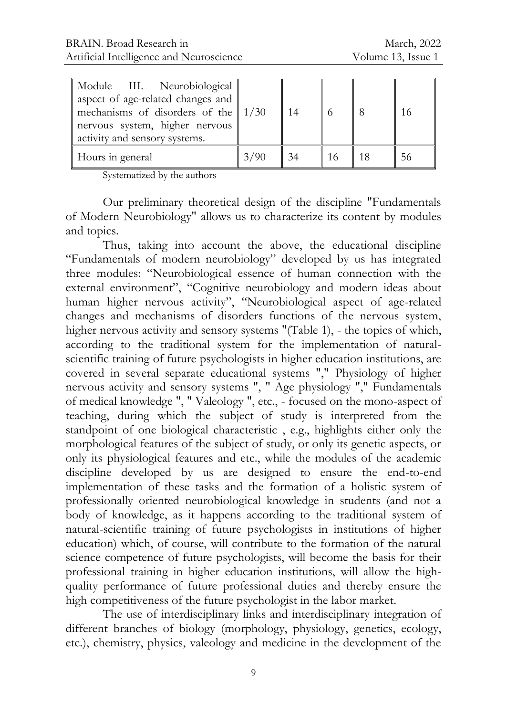| Module III. Neurobiological<br>aspect of age-related changes and<br>mechanisms of disorders of the $\vert 1/30 \vert$<br>nervous system, higher nervous<br>activity and sensory systems. |      | 14 |    | 16 |
|------------------------------------------------------------------------------------------------------------------------------------------------------------------------------------------|------|----|----|----|
| Hours in general                                                                                                                                                                         | 3/90 | 34 | 18 | 56 |

Systematized by the authors

Our preliminary theoretical design of the discipline "Fundamentals of Modern Neurobiology" allows us to characterize its content by modules and topics.

Thus, taking into account the above, the educational discipline "Fundamentals of modern neurobiology" developed by us has integrated three modules: "Neurobiological essence of human connection with the external environment", "Cognitive neurobiology and modern ideas about human higher nervous activity", "Neurobiological aspect of age-related changes and mechanisms of disorders functions of the nervous system, higher nervous activity and sensory systems "(Table 1), - the topics of which, according to the traditional system for the implementation of naturalscientific training of future psychologists in higher education institutions, are covered in several separate educational systems "," Physiology of higher nervous activity and sensory systems ", " Age physiology "," Fundamentals of medical knowledge ", " Valeology ", etc., - focused on the mono-aspect of teaching, during which the subject of study is interpreted from the standpoint of one biological characteristic , e.g., highlights either only the morphological features of the subject of study, or only its genetic aspects, or only its physiological features and etc., while the modules of the academic discipline developed by us are designed to ensure the end-to-end implementation of these tasks and the formation of a holistic system of professionally oriented neurobiological knowledge in students (and not a body of knowledge, as it happens according to the traditional system of natural-scientific training of future psychologists in institutions of higher education) which, of course, will contribute to the formation of the natural science competence of future psychologists, will become the basis for their professional training in higher education institutions, will allow the highquality performance of future professional duties and thereby ensure the high competitiveness of the future psychologist in the labor market.

The use of interdisciplinary links and interdisciplinary integration of different branches of biology (morphology, physiology, genetics, ecology, etc.), chemistry, physics, valeology and medicine in the development of the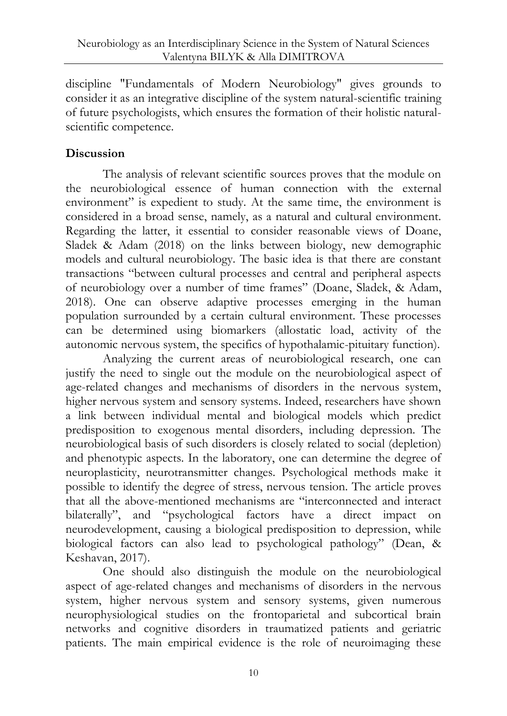discipline "Fundamentals of Modern Neurobiology" gives grounds to consider it as an integrative discipline of the system natural-scientific training of future psychologists, which ensures the formation of their holistic naturalscientific competence.

#### **Discussion**

The analysis of relevant scientific sources proves that the module on the neurobiological essence of human connection with the external environment" is expedient to study. At the same time, the environment is considered in a broad sense, namely, as a natural and cultural environment. Regarding the latter, it essential to consider reasonable views of Doane, Sladek & Adam (2018) on the links between biology, new demographic models and cultural neurobiology. The basic idea is that there are constant transactions "between cultural processes and central and peripheral aspects of neurobiology over a number of time frames" (Doane, Sladek, & Adam, 2018). One can observe adaptive processes emerging in the human population surrounded by a certain cultural environment. These processes can be determined using biomarkers (allostatic load, activity of the autonomic nervous system, the specifics of hypothalamic-pituitary function).

Analyzing the current areas of neurobiological research, one can justify the need to single out the module on the neurobiological aspect of age-related changes and mechanisms of disorders in the nervous system, higher nervous system and sensory systems. Indeed, researchers have shown a link between individual mental and biological models which predict predisposition to exogenous mental disorders, including depression. The neurobiological basis of such disorders is closely related to social (depletion) and phenotypic aspects. In the laboratory, one can determine the degree of neuroplasticity, neurotransmitter changes. Psychological methods make it possible to identify the degree of stress, nervous tension. The article proves that all the above-mentioned mechanisms are "interconnected and interact bilaterally", and "psychological factors have a direct impact on neurodevelopment, causing a biological predisposition to depression, while biological factors can also lead to psychological pathology" (Dean, & Keshavan, 2017).

One should also distinguish the module on the neurobiological aspect of age-related changes and mechanisms of disorders in the nervous system, higher nervous system and sensory systems, given numerous neurophysiological studies on the frontoparietal and subcortical brain networks and cognitive disorders in traumatized patients and geriatric patients. The main empirical evidence is the role of neuroimaging these

10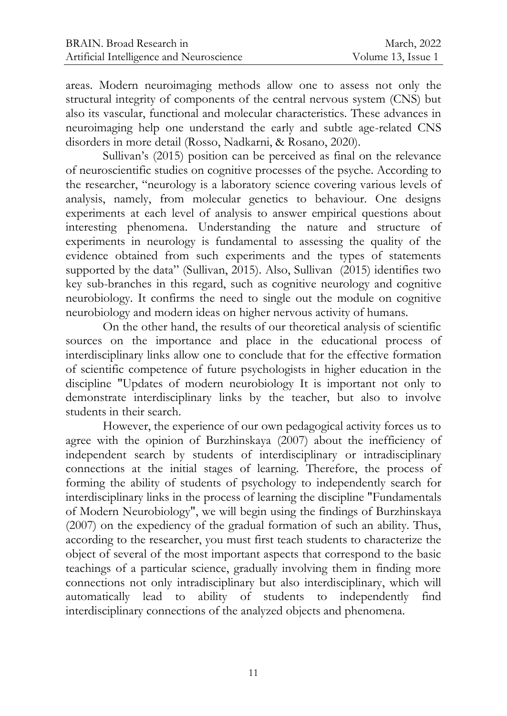areas. Modern neuroimaging methods allow one to assess not only the structural integrity of components of the central nervous system (CNS) but also its vascular, functional and molecular characteristics. These advances in neuroimaging help one understand the early and subtle age-related CNS disorders in more detail (Rosso, Nadkarni, & Rosano, 2020).

Sullivan's (2015) position can be perceived as final on the relevance of neuroscientific studies on cognitive processes of the psyche. According to the researcher, "neurology is a laboratory science covering various levels of analysis, namely, from molecular genetics to behaviour. One designs experiments at each level of analysis to answer empirical questions about interesting phenomena. Understanding the nature and structure of experiments in neurology is fundamental to assessing the quality of the evidence obtained from such experiments and the types of statements supported by the data" (Sullivan, 2015). Also, Sullivan (2015) identifies two key sub-branches in this regard, such as cognitive neurology and cognitive neurobiology. It confirms the need to single out the module on cognitive neurobiology and modern ideas on higher nervous activity of humans.

On the other hand, the results of our theoretical analysis of scientific sources on the importance and place in the educational process of interdisciplinary links allow one to conclude that for the effective formation of scientific competence of future psychologists in higher education in the discipline "Updates of modern neurobiology It is important not only to demonstrate interdisciplinary links by the teacher, but also to involve students in their search.

However, the experience of our own pedagogical activity forces us to agree with the opinion of Burzhinskaya (2007) about the inefficiency of independent search by students of interdisciplinary or intradisciplinary connections at the initial stages of learning. Therefore, the process of forming the ability of students of psychology to independently search for interdisciplinary links in the process of learning the discipline "Fundamentals of Modern Neurobiology", we will begin using the findings of Burzhinskaya (2007) on the expediency of the gradual formation of such an ability. Thus, according to the researcher, you must first teach students to characterize the object of several of the most important aspects that correspond to the basic teachings of a particular science, gradually involving them in finding more connections not only intradisciplinary but also interdisciplinary, which will automatically lead to ability of students to independently find interdisciplinary connections of the analyzed objects and phenomena.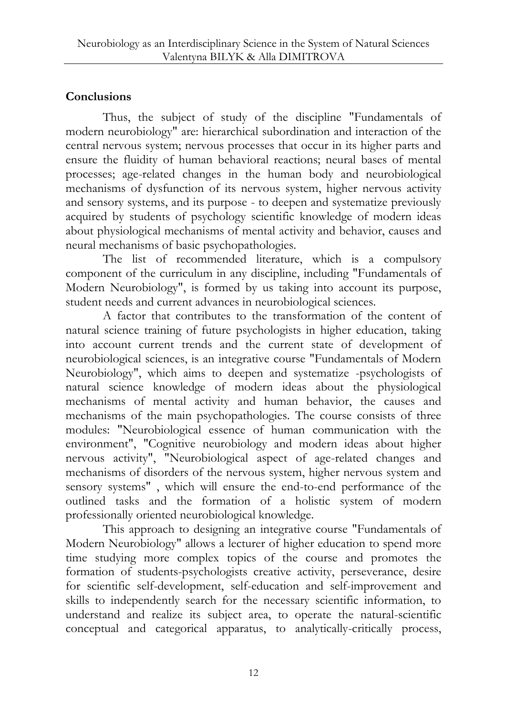## **Conclusions**

Thus, the subject of study of the discipline "Fundamentals of modern neurobiology" are: hierarchical subordination and interaction of the central nervous system; nervous processes that occur in its higher parts and ensure the fluidity of human behavioral reactions; neural bases of mental processes; age-related changes in the human body and neurobiological mechanisms of dysfunction of its nervous system, higher nervous activity and sensory systems, and its purpose - to deepen and systematize previously acquired by students of psychology scientific knowledge of modern ideas about physiological mechanisms of mental activity and behavior, causes and neural mechanisms of basic psychopathologies.

The list of recommended literature, which is a compulsory component of the curriculum in any discipline, including "Fundamentals of Modern Neurobiology", is formed by us taking into account its purpose, student needs and current advances in neurobiological sciences.

A factor that contributes to the transformation of the content of natural science training of future psychologists in higher education, taking into account current trends and the current state of development of neurobiological sciences, is an integrative course "Fundamentals of Modern Neurobiology", which aims to deepen and systematize -psychologists of natural science knowledge of modern ideas about the physiological mechanisms of mental activity and human behavior, the causes and mechanisms of the main psychopathologies. The course consists of three modules: "Neurobiological essence of human communication with the environment", "Cognitive neurobiology and modern ideas about higher nervous activity", "Neurobiological aspect of age-related changes and mechanisms of disorders of the nervous system, higher nervous system and sensory systems" , which will ensure the end-to-end performance of the outlined tasks and the formation of a holistic system of modern professionally oriented neurobiological knowledge.

This approach to designing an integrative course "Fundamentals of Modern Neurobiology" allows a lecturer of higher education to spend more time studying more complex topics of the course and promotes the formation of students-psychologists creative activity, perseverance, desire for scientific self-development, self-education and self-improvement and skills to independently search for the necessary scientific information, to understand and realize its subject area, to operate the natural-scientific conceptual and categorical apparatus, to analytically-critically process,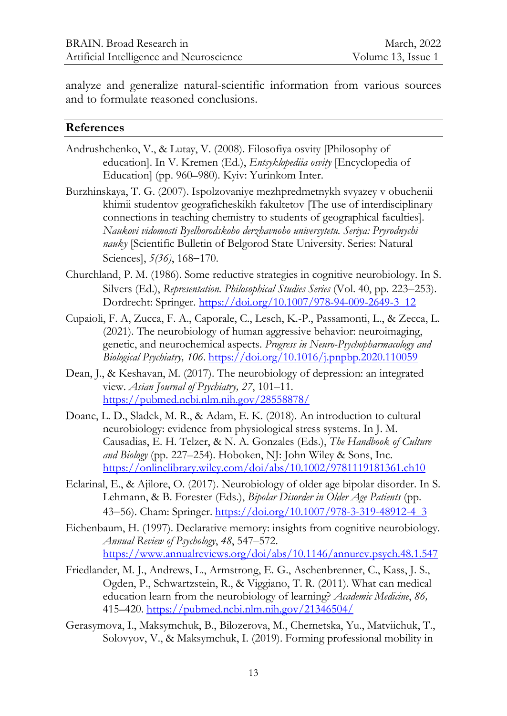analyze and generalize natural-scientific information from various sources and to formulate reasoned conclusions.

#### **References**

- Andrushchenko, V., & Lutay, V. (2008). Filosofiya osvity [Philosophy of education]. In V. Kremen (Ed.), *Entsyklopediia osvity* [Encyclopedia of Education] (pp. 960–980). Kyiv: Yurinkom Inter.
- Burzhinskaya, T. G. (2007). Ispolzovaniye mezhpredmetnykh svyazey v obuchenii khimii studentov geograficheskikh fakultetov [The use of interdisciplinary connections in teaching chemistry to students of geographical faculties]. *Naukovi vidomosti Byelhorodskoho derzhavnoho universytetu. Seriya: Pryrodnychi nauky* [Scientific Bulletin of Belgorod State University. Series: Natural Sciences],  $5(36)$ , 168-170.
- Churchland, P. M. (1986). Some reductive strategies in cognitive neurobiology. In S. Silvers (Ed.), *Representation. Philosophical Studies Series* (Vol. 40, pp. 223–253). Dordrecht: Springer. [https://doi.org/10.1007/978-94-009-2649-3\\_12](https://doi.org/10.1007/978-94-009-2649-3_12)
- Cupaioli, F. A, Zucca, F. A., Caporale, C., Lesch, K.-P., Passamonti, L., & [Zecca,](https://www.sciencedirect.com/science/article/abs/pii/S0278584620303754#!) L. (2021). The neurobiology of human aggressive behavior: neuroimaging, genetic, and neurochemical aspects. *Progress in Neuro-Psychopharmacology and Biological Psychiatry, 106*.<https://doi.org/10.1016/j.pnpbp.2020.110059>
- Dean, J., & Keshavan, M. (2017). The neurobiology of depression: an integrated view. *Asian Journal of Psychiatry, 27*, 101–11. <https://pubmed.ncbi.nlm.nih.gov/28558878/>
- Doane, L. D., Sladek, M. R., & Adam, E. K. (2018). An introduction to cultural neurobiology: evidence from physiological stress systems. In J. M. Causadias, E. H. Telzer, & N. A. Gonzales (Eds.), *The Handbook of Culture and Biology* (pp. 227–254). Hoboken, NJ: John Wiley & Sons, Inc. <https://onlinelibrary.wiley.com/doi/abs/10.1002/9781119181361.ch10>
- Eclarinal, E., & Ajilore, O. (2017). Neurobiology of older age bipolar disorder. In S. Lehmann, & B. Forester (Eds.), *Bipolar Disorder in Older Age Patients* (pp. 43–56). Cham: Springer[. https://doi.org/10.1007/978-3-319-48912-4\\_3](https://doi.org/10.1007/978-3-319-48912-4_3)
- Eichenbaum, H. (1997). Declarative memory: insights from cognitive neurobiology. *Annual Review of Psychology*, *48*, 547–572. <https://www.annualreviews.org/doi/abs/10.1146/annurev.psych.48.1.547>
- Friedlander, M. J., Andrews, L., Armstrong, E. G., Aschenbrenner, C., Kass, J. S., Ogden, P., Schwartzstein, R., & Viggiano, T. R. (2011). What can medical education learn from the neurobiology of learning? *Academic Medicine*, *86,* 415–420. <https://pubmed.ncbi.nlm.nih.gov/21346504/>
- Gerasymova, I., Maksymchuk, B., Bilozerova, M., Chernetska, Yu., Matviichuk, T., Solovyov, V., & Maksymchuk, I. (2019). Forming professional mobility in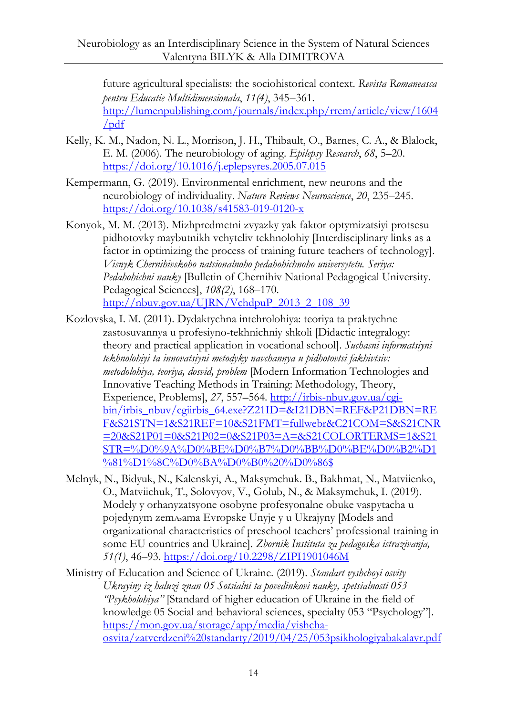future agricultural specialists: the sociohistorical context. *Revista Romaneasca pentru Educatie Multidimensionala*, 11(4), 345-361. [http://lumenpublishing.com/journals/index.php/rrem/article/view/1604](http://lumenpublishing.com/journals/index.php/rrem/article/view/1604/pdf) [/pdf](http://lumenpublishing.com/journals/index.php/rrem/article/view/1604/pdf)

- Kelly, K. M., Nadon, N. L., Morrison, J. H., Thibault, O., Barnes, C. A., & Blalock, E. M. (2006). The neurobiology of aging. *Epilepsy Research*, *68*, 5–20. <https://doi.org/10.1016/j.eplepsyres.2005.07.015>
- Kempermann, G. (2019). Environmental enrichment, new neurons and the neurobiology of individuality. *Nature Reviews Neuroscience*, *20*, 235–245. <https://doi.org/10.1038/s41583-019-0120-x>
- Konyok, M. M. (2013). Mizhpredmetni zvyazky yak faktor optymizatsiyi protsesu pidhotovky maybutnikh vchyteliv tekhnolohiy [Interdisciplinary links as a factor in optimizing the process of training future teachers of technology]. *Visnyk Chernihivskoho natsionalnoho pedahohichnoho universytetu. Seriya: Pedahohichni nauky* [Bulletin of Chernihiv National Pedagogical University. Pedagogical Sciences], *108(2)*, 168–170. [http://nbuv.gov.ua/UJRN/VchdpuP\\_2013\\_2\\_108\\_39](http://nbuv.gov.ua/UJRN/VchdpuP_2013_2_108_39)
- Kozlovska, I. M. (2011). Dydaktychna intehrolohiya: teoriya ta praktychne zastosuvannya u profesiyno-tekhnichniy shkoli [Didactic integralogy: theory and practical application in vocational school]. *Suchasni informatsiyni tekhnolohiyi ta innovatsiyni metodyky navchannya u pidhotovtsi fakhivtsiv: metodolohiya, teoriya, dosvid, problem* [Modern Information Technologies and Innovative Teaching Methods in Training: Methodology, Theory, Experience, Problems], *27*, 557–564. [http://irbis-nbuv.gov.ua/cgi](http://irbis-nbuv.gov.ua/cgi-bin/irbis_nbuv/cgiirbis_64.exe?Z21ID=&I21DBN=REF&P21DBN=REF&S21STN=1&S21REF=10&S21FMT=fullwebr&C21COM=S&S21CNR=20&S21P01=0&S21P02=0&S21P03=A=&S21COLORTERMS=1&S21STR=%D0%9A%D0%BE%D0%B7%D0%BB%D0%BE%D0%B2%D1%81%D1%8C%D0%BA%D0%B0%20%D0%86$)[bin/irbis\\_nbuv/cgiirbis\\_64.exe?Z21ID=&I21DBN=REF&P21DBN=RE](http://irbis-nbuv.gov.ua/cgi-bin/irbis_nbuv/cgiirbis_64.exe?Z21ID=&I21DBN=REF&P21DBN=REF&S21STN=1&S21REF=10&S21FMT=fullwebr&C21COM=S&S21CNR=20&S21P01=0&S21P02=0&S21P03=A=&S21COLORTERMS=1&S21STR=%D0%9A%D0%BE%D0%B7%D0%BB%D0%BE%D0%B2%D1%81%D1%8C%D0%BA%D0%B0%20%D0%86$) [F&S21STN=1&S21REF=10&S21FMT=fullwebr&C21COM=S&S21CNR](http://irbis-nbuv.gov.ua/cgi-bin/irbis_nbuv/cgiirbis_64.exe?Z21ID=&I21DBN=REF&P21DBN=REF&S21STN=1&S21REF=10&S21FMT=fullwebr&C21COM=S&S21CNR=20&S21P01=0&S21P02=0&S21P03=A=&S21COLORTERMS=1&S21STR=%D0%9A%D0%BE%D0%B7%D0%BB%D0%BE%D0%B2%D1%81%D1%8C%D0%BA%D0%B0%20%D0%86$) [=20&S21P01=0&S21P02=0&S21P03=A=&S21COLORTERMS=1&S21](http://irbis-nbuv.gov.ua/cgi-bin/irbis_nbuv/cgiirbis_64.exe?Z21ID=&I21DBN=REF&P21DBN=REF&S21STN=1&S21REF=10&S21FMT=fullwebr&C21COM=S&S21CNR=20&S21P01=0&S21P02=0&S21P03=A=&S21COLORTERMS=1&S21STR=%D0%9A%D0%BE%D0%B7%D0%BB%D0%BE%D0%B2%D1%81%D1%8C%D0%BA%D0%B0%20%D0%86$) [STR=%D0%9A%D0%BE%D0%B7%D0%BB%D0%BE%D0%B2%D1](http://irbis-nbuv.gov.ua/cgi-bin/irbis_nbuv/cgiirbis_64.exe?Z21ID=&I21DBN=REF&P21DBN=REF&S21STN=1&S21REF=10&S21FMT=fullwebr&C21COM=S&S21CNR=20&S21P01=0&S21P02=0&S21P03=A=&S21COLORTERMS=1&S21STR=%D0%9A%D0%BE%D0%B7%D0%BB%D0%BE%D0%B2%D1%81%D1%8C%D0%BA%D0%B0%20%D0%86$) [%81%D1%8C%D0%BA%D0%B0%20%D0%86\\$](http://irbis-nbuv.gov.ua/cgi-bin/irbis_nbuv/cgiirbis_64.exe?Z21ID=&I21DBN=REF&P21DBN=REF&S21STN=1&S21REF=10&S21FMT=fullwebr&C21COM=S&S21CNR=20&S21P01=0&S21P02=0&S21P03=A=&S21COLORTERMS=1&S21STR=%D0%9A%D0%BE%D0%B7%D0%BB%D0%BE%D0%B2%D1%81%D1%8C%D0%BA%D0%B0%20%D0%86$)
- Melnyk, N., Bidyuk, N., Kalenskyi, A., Maksymchuk. B., Bakhmat, N., Matviienko, O., Matviichuk, T., Solovyov, V., Golub, N., & Maksymchuk, I. (2019). Modely y orhanyzatsyone osobyne profesyonalne obuke vaspytacha u poјedynym zemљama Evropske Unyјe y u Ukraјyny [Models and organizational characteristics of preschool teachers' professional training in some EU countries and Ukraine]. *Zbornik Instituta za pedagoska istrazivanja, 51(1)*, 46–93. <https://doi.org/10.2298/ZIPI1901046M>
- Ministry of Education and Science of Ukraine. (2019). *Standart vyshchoyi osvity Ukrayiny iz haluzi znan 05 Sotsialni ta povedinkovi nauky, spetsialnosti 053 "Psykholohiya"* [Standard of higher education of Ukraine in the field of knowledge 05 Social and behavioral sciences, specialty 053 "Psychology"]. [https://mon.gov.ua/storage/app/media/vishcha](https://mon.gov.ua/storage/app/media/vishcha-osvita/zatverdzeni%20standarty/2019/04/25/053psikhologiyabakalavr.pdf)[osvita/zatverdzeni%20standarty/2019/04/25/053psikhologiyabakalavr.pdf](https://mon.gov.ua/storage/app/media/vishcha-osvita/zatverdzeni%20standarty/2019/04/25/053psikhologiyabakalavr.pdf)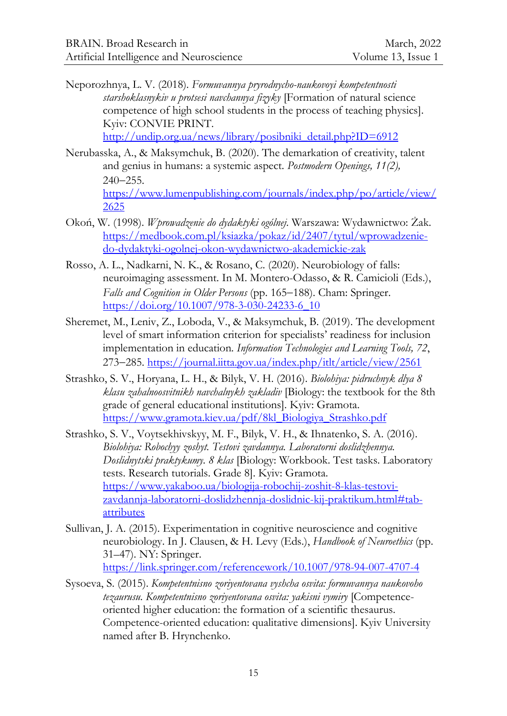Neporozhnya, L. V. (2018)*. Formuvannya pryrodnycho-naukovoyi kompetentnosti starshoklasnykiv u protsesi navchannya fizyky* [Formation of natural science competence of high school students in the process of teaching physics]. Kyiv: CONVIE PRINT.

[http://undip.org.ua/news/library/posibniki\\_detail.php?ID=6912](http://undip.org.ua/news/library/posibniki_detail.php?ID=6912)

- Nerubasska, A., & Maksymchuk, B. (2020). The demarkation of creativity, talent and genius in humans: a systemic aspect. *Postmodern Openings, 11(2),*  $240 - 255$ . [https://www.lumenpublishing.com/journals/index.php/po/article/view/](https://www.lumenpublishing.com/journals/index.php/po/article/view/2625) [2625](https://www.lumenpublishing.com/journals/index.php/po/article/view/2625)
- Okoń, W. (1998). *Wprowadzenie do dydaktyki ogólnej*. Warszawa: Wydawnictwo: Żak. [https://medbook.com.pl/ksiazka/pokaz/id/2407/tytul/wprowadzenie](https://medbook.com.pl/ksiazka/pokaz/id/2407/tytul/wprowadzenie-do-dydaktyki-ogolnej-okon-wydawnictwo-akademickie-zak)[do-dydaktyki-ogolnej-okon-wydawnictwo-akademickie-zak](https://medbook.com.pl/ksiazka/pokaz/id/2407/tytul/wprowadzenie-do-dydaktyki-ogolnej-okon-wydawnictwo-akademickie-zak)
- Rosso, A. L., Nadkarni, N. K., & Rosano, C. (2020). Neurobiology of falls: neuroimaging assessment. In M. Montero-Odasso, & R. Camicioli (Eds.), Falls and Cognition in Older Persons (pp. 165-188). Cham: Springer. [https://doi.org/10.1007/978-3-030-24233-6\\_10](https://doi.org/10.1007/978-3-030-24233-6_10)
- Sheremet, M., Leniv, Z., Loboda, V., & Maksymchuk, B. (2019). The development level of smart information criterion for specialists' readiness for inclusion implementation in education. *Information Technologies and Learning Tools, 72*, 273–285.<https://journal.iitta.gov.ua/index.php/itlt/article/view/2561>
- Strashko, S. V., Horyana, L. H., & Bilyk, V. H. (2016). *Biolohiya: pidruchnyk dlya 8 klasu zahalnoosvitnikh navchalnykh zakladiv* [Biology: the textbook for the 8th grade of general educational institutions]. Kyiv: Gramota. [https://www.gramota.kiev.ua/pdf/8kl\\_Biologiya\\_Strashko.pdf](https://www.gramota.kiev.ua/pdf/8kl_Biologiya_Strashko.pdf)
- Strashko, S. V., Voytsekhivskyy, M. F., Bilyk, V. H., & Ihnatenko, S. A. (2016). *Biolohiya: Robochyy zoshyt. Testovi zavdannya. Laboratorni doslidzhennya. Doslidnytski praktykumy. 8 klas* [Biology: Workbook. Test tasks. Laboratory tests. Research tutorials. Grade 8]. Kyiv: Gramota. [https://www.yakaboo.ua/biologija-robochij-zoshit-8-klas-testovi](https://www.yakaboo.ua/biologija-robochij-zoshit-8-klas-testovi-zavdannja-laboratorni-doslidzhennja-doslidnic-kij-praktikum.html#tab-attributes)[zavdannja-laboratorni-doslidzhennja-doslidnic-kij-praktikum.html#tab](https://www.yakaboo.ua/biologija-robochij-zoshit-8-klas-testovi-zavdannja-laboratorni-doslidzhennja-doslidnic-kij-praktikum.html#tab-attributes)[attributes](https://www.yakaboo.ua/biologija-robochij-zoshit-8-klas-testovi-zavdannja-laboratorni-doslidzhennja-doslidnic-kij-praktikum.html#tab-attributes)
- Sullivan, J. A. (2015). Experimentation in cognitive neuroscience and cognitive neurobiology. In J. Clausen, & H. Levy (Eds.), *Handbook of Neuroethics* (pp. 31–47). NY: Springer. <https://link.springer.com/referencework/10.1007/978-94-007-4707-4>
- Sysoeva, S. (2015). *Kompetentnisno zoriyentovana vyshcha osvita: formuvannya naukovoho tezaurusu. Kompetentnisno zoriyentovana osvita: yakisni vymiry* [Competenceoriented higher education: the formation of a scientific thesaurus. Competence-oriented education: qualitative dimensions]. Kyiv University named after B. Hrynchenko.